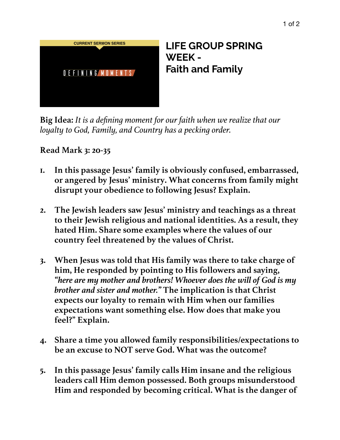

**Big Idea:** *It is a defining moment for our faith when we realize that our loyalty to God, Family, and Country has a pecking order.* 

**Read Mark 3: 20-35**

- **1. In this passage Jesus' family is obviously confused, embarrassed, or angered by Jesus' ministry. What concerns from family might disrupt your obedience to following Jesus? Explain.**
- **2. The Jewish leaders saw Jesus' ministry and teachings as a threat to their Jewish religious and national identities. As a result, they hated Him. Share some examples where the values of our country feel threatened by the values of Christ.**
- **3. When Jesus was told that His family was there to take charge of him, He responded by pointing to His followers and saying,**  *"here are my mother and brothers! Whoever does the will of God is my brother and sister and mother."* **The implication is that Christ expects our loyalty to remain with Him when our families expectations want something else. How does that make you feel?" Explain.**
- **4. Share a time you allowed family responsibilities/expectations to be an excuse to NOT serve God. What was the outcome?**
- **5. In this passage Jesus' family calls Him insane and the religious leaders call Him demon possessed. Both groups misunderstood Him and responded by becoming critical. What is the danger of**